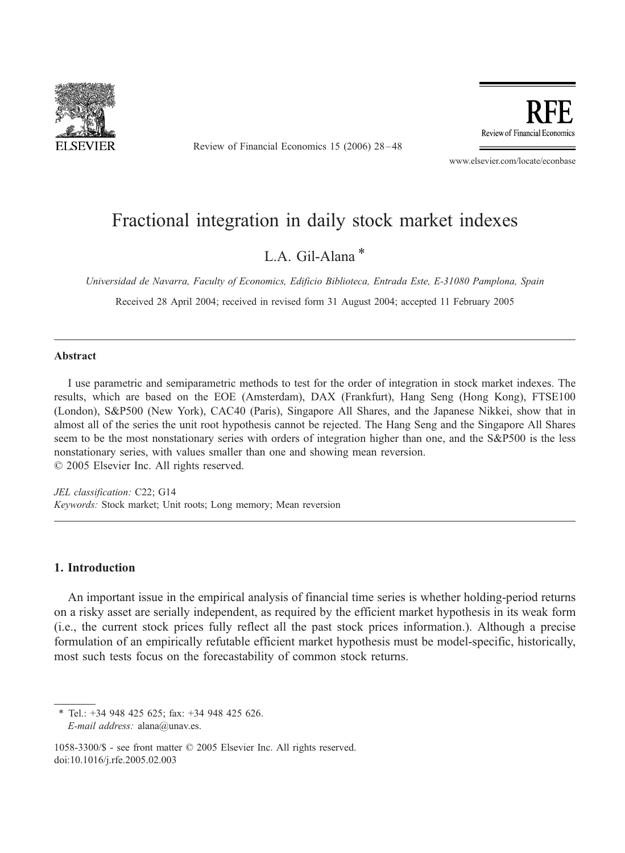

Review of Financial Economics 15 (2006) 28 – 48

Review of Financial Economics

www.elsevier.com/locate/econbase

## Fractional integration in daily stock market indexes

### L.A. Gil-Alana $*$

Universidad de Navarra, Faculty of Economics, Edificio Biblioteca, Entrada Este, E-31080 Pamplona, Spain

Received 28 April 2004; received in revised form 31 August 2004; accepted 11 February 2005

#### Abstract

I use parametric and semiparametric methods to test for the order of integration in stock market indexes. The results, which are based on the EOE (Amsterdam), DAX (Frankfurt), Hang Seng (Hong Kong), FTSE100 (London), S&P500 (New York), CAC40 (Paris), Singapore All Shares, and the Japanese Nikkei, show that in almost all of the series the unit root hypothesis cannot be rejected. The Hang Seng and the Singapore All Shares seem to be the most nonstationary series with orders of integration higher than one, and the S&P500 is the less nonstationary series, with values smaller than one and showing mean reversion.  $© 2005 Elsevier Inc. All rights reserved.$ 

JEL classification: C22; G14 Keywords: Stock market; Unit roots; Long memory; Mean reversion

#### 1. Introduction

An important issue in the empirical analysis of financial time series is whether holding-period returns on a risky asset are serially independent, as required by the efficient market hypothesis in its weak form (i.e., the current stock prices fully reflect all the past stock prices information.). Although a precise formulation of an empirically refutable efficient market hypothesis must be model-specific, historically, most such tests focus on the forecastability of common stock returns.

\* Tel.: +34 948 425 625; fax: +34 948 425 626. E-mail address: alana@unav.es.

1058-3300/\$ - see front matter © 2005 Elsevier Inc. All rights reserved. doi:10.1016/j.rfe.2005.02.003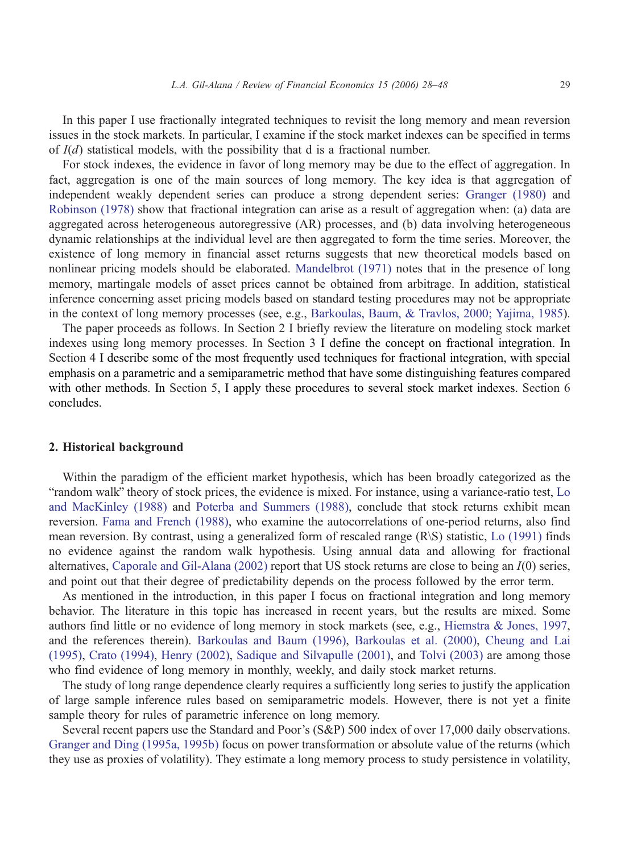In this paper I use fractionally integrated techniques to revisit the long memory and mean reversion issues in the stock markets. In particular, I examine if the stock market indexes can be specified in terms of  $I(d)$  statistical models, with the possibility that d is a fractional number.

For stock indexes, the evidence in favor of long memory may be due to the effect of aggregation. In fact, aggregation is one of the main sources of long memory. The key idea is that aggregation of independent weakly dependent series can produce a strong dependent series: [Granger \(1980\)](#page--1-0) and [Robinson \(1978\)](#page--1-0) show that fractional integration can arise as a result of aggregation when: (a) data are aggregated across heterogeneous autoregressive (AR) processes, and (b) data involving heterogeneous dynamic relationships at the individual level are then aggregated to form the time series. Moreover, the existence of long memory in financial asset returns suggests that new theoretical models based on nonlinear pricing models should be elaborated. [Mandelbrot \(1971\)](#page--1-0) notes that in the presence of long memory, martingale models of asset prices cannot be obtained from arbitrage. In addition, statistical inference concerning asset pricing models based on standard testing procedures may not be appropriate in the context of long memory processes (see, e.g., [Barkoulas, Baum, & Travlos, 2000; Yajima, 1985\)](#page--1-0).

The paper proceeds as follows. In Section 2 I briefly review the literature on modeling stock market indexes using long memory processes. In Section 3 I define the concept on fractional integration. In Section 4 I describe some of the most frequently used techniques for fractional integration, with special emphasis on a parametric and a semiparametric method that have some distinguishing features compared with other methods. In Section 5, I apply these procedures to several stock market indexes. Section 6 concludes.

#### 2. Historical background

Within the paradigm of the efficient market hypothesis, which has been broadly categorized as the "random walk" theory of stock prices, the evidence is mixed. For instance, using a variance-ratio test, [Lo](#page--1-0) and MacKinley (1988) and [Poterba and Summers \(1988\),](#page--1-0) conclude that stock returns exhibit mean reversion. [Fama and French \(1988\),](#page--1-0) who examine the autocorrelations of one-period returns, also find mean reversion. By contrast, using a generalized form of rescaled range (R\S) statistic, [Lo \(1991\)](#page--1-0) finds no evidence against the random walk hypothesis. Using annual data and allowing for fractional alternatives, [Caporale and Gil-Alana \(2002\)](#page--1-0) report that US stock returns are close to being an I(0) series, and point out that their degree of predictability depends on the process followed by the error term.

As mentioned in the introduction, in this paper I focus on fractional integration and long memory behavior. The literature in this topic has increased in recent years, but the results are mixed. Some authors find little or no evidence of long memory in stock markets (see, e.g., [Hiemstra & Jones, 1997,](#page--1-0) and the references therein). [Barkoulas and Baum \(1996\),](#page--1-0) [Barkoulas et al. \(2000\),](#page--1-0) [Cheung and Lai](#page--1-0) (1995), [Crato \(1994\),](#page--1-0) [Henry \(2002\),](#page--1-0) [Sadique and Silvapulle \(2001\),](#page--1-0) and [Tolvi \(2003\)](#page--1-0) are among those who find evidence of long memory in monthly, weekly, and daily stock market returns.

The study of long range dependence clearly requires a sufficiently long series to justify the application of large sample inference rules based on semiparametric models. However, there is not yet a finite sample theory for rules of parametric inference on long memory.

Several recent papers use the Standard and Poor's (S&P) 500 index of over 17,000 daily observations. [Granger and Ding \(1995a, 1995b\)](#page--1-0) focus on power transformation or absolute value of the returns (which they use as proxies of volatility). They estimate a long memory process to study persistence in volatility,